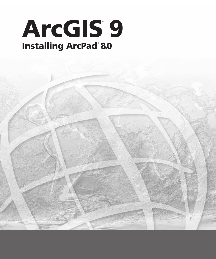# ArcGIS<sup>9</sup> Installing ArcPad®8.0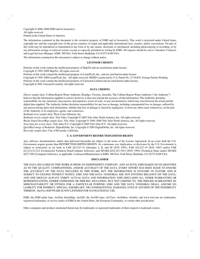Copyright © 2000–2009 ESRI and its licensor(s). All rights reserved. Printed in the United States of America.

The information contained in this document is the exclusive property of ESRI and its licensor(s). This work is protected under United States copyright law and the copyright laws of the given countries of origin and applicable international laws, treaties, and/or conventions. No part of this work may be reproduced or transmitted in any form or by any means, electronic or mechanical, including photocopying or recording, or by any information storage or retrieval system, except as expressly permitted in writing by ESRI. All requests should be sent to Attention: Contracts and Legal Services Manager, ESRI, 380 New York Street, Redlands, CA 92373-8100 USA.

The information contained in this document is subject to change without notice.

#### **LICENSOR CREDITS**

Portions of this work contain the intellectual property of MapTel and are used herein under license.

Copyright © 1995–2009 MapTel. All rights reserved.

Portions of this work contain the intellectual property of LizardTech, Inc., and are used herein under license.

Copyright © 1995–2004 LizardTech, Inc. All rights reserved. MrSID is protected by U.S. Patent No. 5,710,835. Foreign Patents Pending. Portions of this work contain the intellectual property of Unisearch Limited and are used herein under license.

Copyright © 2001 Unisearch Limited. All rights reserved.

#### **DATA CREDITS**

*Elmore sample data:* Coliban Region Water Authority, Bendigo, Victoria, Australia. The Coliban Region Water Authority ("the Authority") believes that the information supplied is correct; however, it does not warrant the accuracy of that information. The Authority disclaims responsibility for any omissions, inaccuracies, discrepancies, errors of scale, or any inconsistencies which may exist between the actual and the digital data supplied. The Authority further disclaims responsibility for any loss or damage, including consequential loss or damage, suffered by any person relying upon such information, whether that loss or damage is caused by negligence, or from any other cause whatsoever, on the part of the Authority or its employees, agents, and contractors.

*Redlands trees sample data:* West Coast Arborists, Inc.

*Redlands streets sample data:* Tele Atlas. Copyright © 2005 Tele Atlas North America, Inc. All rights reserved.

*Rhode Island StreetMap sample data:* Tele Atlas. Copyright © 1984–2006 Tele Atlas North America, Inc. All rights reserved.

*Nyon data for screen shots:* Tele Atlas N.V. Copyright © 2005 Tele Atlas N.V. All rights reserved.

*QuickBird image of Redlands:* DigitalGlobe, Inc. Copyright © 2005 DigitalGlobe, Inc. All rights reserved.

*Riverside sample data:* City of Riverside, California.

#### **U. S. GOVERNMENT RESTRICTED/LIMITED RIGHTS**

Any software, documentation, and/or data delivered hereunder are subject to the terms of the License Agreement. In no event shall the U.S. Government acquire greater than RESTRICTED/LIMITED RIGHTS. At a minimum, use, duplication, or disclosure by the U.S. Government is subject to restrictions as set forth in FAR §52.227-14 Alternates I, II, and III (JUN 1987); FAR §52.227-19 (JUN 1987) and/or FAR §12.211/12.212 (Commercial Technical Data/Computer Software); and DFARS §252.227-7015 (NOV 1995) (Technical Data) and/or DFARS §227.7202 (Computer Software), as applicable. Contractor/Manufacturer is ESRI, 380 New York Street, Redlands, CA 92373-8100 USA.

#### **DISCLAIMER**

THE DATA INCLUDED IN THIS WORK IS FROM AN INDEPENDENT COMPANY, AND AS SUCH, ESRI MAKES NO GUARANTEES AS TO THE QUALITY, COMPLETENESS, AND/OR ACCURACY OF THE DATA. EVERY EFFORT HAS BEEN MADE TO ENSURE THE ACCURACY OF THE DATA INCLUDED IN THIS WORK, BUT THE INFORMATION IS DYNAMIC IN NATURE AND IS SUBJECT TO CHANGE WITHOUT NOTICE. ESRI AND THE DATA VENDOR(S) ARE NOT INVITING RELIANCE ON THE DATA, AND ONE SHOULD ALWAYS VERIFY ACTUAL DATA AND INFORMATION. ESRI DISCLAIMS ALL OTHER WARRANTIES OR REPRESENTATIONS, EITHER EXPRESSED OR IMPLIED, INCLUDING, BUT NOT LIMITED TO, THE IMPLIED WARRANTIES OF MERCHANTABILITY OR FITNESS FOR A PARTICULAR PURPOSE. ESRI AND THE DATA VENDOR(S) SHALL ASSUME NO LIABILITY FOR INDIRECT, SPECIAL, EXEMPLARY, OR CONSEQUENTIAL DAMAGES, EVEN IF ADVISED OF THE POSSIBILITY THEREOF. ARCPAD SOFTWARE IS NOT LICENSED FOR NAVIGATIONAL USE.

ESRI, the ESRI globe logo, ArcPad, StreetMap, ArcGIS, the ArcGIS logo, ArcView, ArcEditor, ArcInfo, and www.esri.com are trademarks, registered trademarks, or service marks of ESRI in the United States, the European Community, or certain other jurisdictions.

Other companies and products mentioned herein may be trademarks or registered trademarks of their respective trademark owners.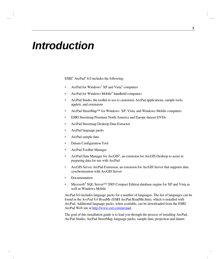# *Introduction*

ESRI® ArcPad® 8.0 includes the following:

- ArcPad for Windows<sup>®</sup> XP and Vista<sup>®</sup> computers
- ArcPad for Windows Mobile® handheld computers
- ArcPad Studio, the toolkit to use to customize ArcPad applications, sample tools, applets, and extensions
- ArcPad StreetMap™ for Windows XP, Vista, and Windows Mobile computers
- ESRI Streetmap Premium North America and Europe dataset DVDs
- ArcPad Streetmap Desktop Data Extractor
- ArcPad language packs
- ArcPad sample data
- Datum Configuration Tool
- ArcPad Toolbar Manager
- ArcPad Data Manager for ArcGIS®, an extension for ArcGIS Desktop to assist in preparing data for use with ArcPad
- ArcGIS Server ArcPad Extension, an extension for ArcGIS Server that supports data synchronization with ArcGIS Server
- Documentation
- Microsoft® SQL Server<sup>™</sup> 2005 Compact Edition database engine for XP and Vista as well as Windows Mobile

ArcPad 8.0 includes language packs for a number of languages. The list of languages can be found in the *ArcPad 8.0 ReadMe* (ESRI ArcPad ReadMe.htm), which is installed with ArcPad. Additional language packs, when available, can be downloaded from the ESRI ArcPad Web site at<http://www.esri.com/arcpad>.

The goal of this installation guide is to lead you through the process of installing ArcPad, ArcPad Studio, ArcPad StreetMap, language packs, sample data, projection and datum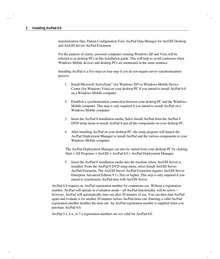transformation files, Datum Configuration Tool, ArcPad Data Manager for ArcGIS Desktop, and ArcGIS Server ArcPad Extension.

For the purpose of clarity, personal computers running Windows XP and Vista will be referred to as desktop PCs in this installation guide. This will help to avoid confusion when Windows Mobile devices and desktop PCs are mentioned in the same sentence.

Installing ArcPad is a five-step (or four-step if you do not require server synchronization) process:

- 1. Install Microsoft ActiveSync® (for Windows XP) or Windows Mobile Device Center (for Windows Vista) on your desktop PC if you intend to install ArcPad 8.0 on a Windows Mobile computer.
- 2. Establish a synchronization connection between your desktop PC and the Windows Mobile computer. This step is only required if you intend to install ArcPad on a Windows Mobile computer.
- 3. Insert the ArcPad 8 installation media. Select Install ArcPad from the ArcPad 8 DVD setup menu to install ArcPad 8 and all the components on your desktop PC.
- 4. After installing ArcPad on your desktop PC, the setup program will launch the ArcPad Deployment Manager to install ArcPad and the various components to your Windows Mobile computer.

The ArcPad Deployment Manager can also be started from your desktop PC by clicking Start > All Programs > ArcGIS > ArcPad 8.0 > ArcPad Deployment Manager.

5. Insert the ArcPad 8 installation media into the machine where ArcGIS Server is installed. From the ArcPad 8 DVD setup menu, select Install ArcGIS Server ArcPad Extension. The ArcGIS Server ArcPad Extension requires ArcGIS Server Enterprise Advanced Edition 9.3 (.Net) or higher. This step is only required if you intend to synchronize ArcPad data with ArcGIS Server.

ArcPad 8.0 requires an ArcPad registration number for continuous use. Without a registration number, ArcPad will operate in evaluation mode—all ArcPad functionality will be active however, ArcPad will automatically time out after 20 minutes of use. You can then start ArcPad again and evaluate it for another 20 minutes before ArcPad times out. Entering a valid ArcPad registration number disables the time-out. An ArcPad registration number is supplied when you purchase ArcPad 8.0.

ArcPad 5.x, 6.x, or 7.x registration numbers are *not* valid for ArcPad 8.0.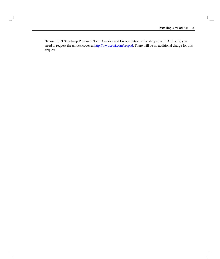To use ESRI Streetmap Premium North America and Europe datasets that shipped with ArcPad 8, you need to request the unlock codes at [http://www.esri.com/arcpad.](http://www.esri.com/arcpad) There will be no additional charge for this request.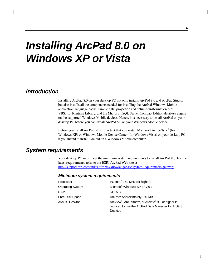# *Installing ArcPad 8.0 on Windows XP or Vista*

## *Introduction*

Installing ArcPad 8.0 on your desktop PC not only installs ArcPad 8.0 and ArcPad Studio, but also installs all the components needed for installing the ArcPad Windows Mobile application, language packs, sample data, projection and datum transformation files, VBScript Runtime Library, and the Microsoft SQL Server Compact Edition database engine on the supported Windows Mobile devices. Hence, it is necessary to install ArcPad on your desktop PC before you can install ArcPad 8.0 on your Windows Mobile device.

Before you install ArcPad, it is important that you install Microsoft ActiveSync® (for Windows XP) or Windows Mobile Device Center (for Windows Vista) on your desktop PC if you intend to install ArcPad on a Windows Mobile computer.

## *System requirements*

Your desktop PC must meet the minimum system requirements to install ArcPad 8.0. For the latest requirements, refer to the ESRI ArcPad Web site at [http://support.esri.com/index.cfm?fa=knowledgebase.systemRequirements.gateway.](http://support.esri.com/index.cfm?fa=knowledgebase.systemRequirements.gateway)

#### *Minimum system requirements*

| Processor               | PC-Intel <sup>®</sup> 750 MHz (or higher)                                                                                        |
|-------------------------|----------------------------------------------------------------------------------------------------------------------------------|
| <b>Operating System</b> | Microsoft Windows XP or Vista                                                                                                    |
| <b>RAM</b>              | 512 MB                                                                                                                           |
| Free Disk Space         | ArcPad: Approximately 192 MB                                                                                                     |
| ArcGIS Desktop          | ArcView®, ArcEditor <sup>™</sup> , or ArcInfo® 9.3 or higher is<br>required to use the ArcPad Data Manager for ArcGIS<br>Desktop |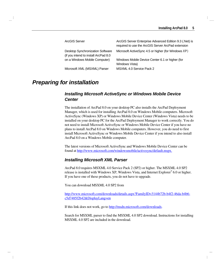| ArcGIS Server                                                                    | ArcGIS Server Enterprise Advanced Edition 9.3 (.Net) is<br>required to use the ArcGIS Server ArcPad extension |
|----------------------------------------------------------------------------------|---------------------------------------------------------------------------------------------------------------|
| <b>Desktop Synchronization Software</b><br>(if you intend to install ArcPad 8.0) | Microsoft ActiveSync 4.5 or higher (for Windows XP)                                                           |
| on a Windows Mobile Computer)                                                    | Windows Mobile Device Center 6.1 or higher (for<br>Windows Vista)                                             |
| Microsoft XML (MSXML) Parser                                                     | MSXML 4.0 Service Pack 2                                                                                      |

## *Preparing for installation*

## *Installing Microsoft ActiveSync or Windows Mobile Device Center*

The installation of ArcPad 8.0 on your desktop PC also installs the ArcPad Deployment Manager, which is used for installing ArcPad 8.0 on Windows Mobile computers. Microsoft ActiveSync (Windows XP) or Windows Mobile Device Center (Windows Vista) needs to be installed on your desktop PC for the ArcPad Deployment Manager to work correctly. You do not need to install Microsoft ActiveSync or Windows Mobile Device Center if you have no plans to install ArcPad 8.0 on Windows Mobile computers. However, you do need to first install Microsoft ActiveSync or Windows Mobile Device Center if you intend to also install ArcPad 8.0 on a Windows Mobile computer.

The latest versions of Microsoft ActiveSync and Windows Mobile Device Center can be found at<http://www.microsoft.com/windowsmobile/activesync/default.mspx>.

## *Installing Microsoft XML Parser*

ArcPad 8.0 requires MSXML 4.0 Service Pack 2 (SP2) or higher. The MSXML 4.0 SP2 release is installed with Windows XP, Windows Vista, and Internet Explorer® 6.0 or higher. If you have one of these products, you do not have to upgrade.

You can download MSXML 4.0 SP2 from

[http://www.microsoft.com/downloads/details.aspx?FamilyID=3144b72b-b4f2-46da-b4b6](http://www.microsoft.com/downloads/details.aspx?FamilyID=3144b72b-b4f2-46da-b4b6-c5d7485f2b42&DisplayLang=en) [c5d7485f2b42&DisplayLang=en](http://www.microsoft.com/downloads/details.aspx?FamilyID=3144b72b-b4f2-46da-b4b6-c5d7485f2b42&DisplayLang=en)

If this link does not work, go to [http://msdn.microsoft.com/downloads.](http://msdn.microsoft.com/downloads/)

Search for MSXML parser to find the MSXML 4.0 SP2 download. Instructions for installing MSXML 4.0 SP2 are included in the download.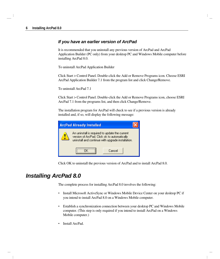## *If you have an earlier version of ArcPad*

It is recommended that you uninstall any previous version of ArcPad and ArcPad Application Builder (PC only) from your desktop PC and Windows Mobile computer before installing ArcPad 8.0.

To uninstall ArcPad Application Builder

Click Start > Control Panel. Double-click the Add or Remove Programs icon. Choose ESRI ArcPad Application Builder 7.1 from the program list and click Change/Remove.

To uninstall ArcPad 7.1

Click Start > Control Panel. Double-click the Add or Remove Programs icon, choose ESRI ArcPad 7.1 from the programs list, and then click Change/Remove.

The installation program for ArcPad will check to see if a previous version is already installed and, if so, will display the following message:

| <b>ArcPad Already Installed</b>                                                                                                                     |  |        |
|-----------------------------------------------------------------------------------------------------------------------------------------------------|--|--------|
| An uninstall is required to update the current<br>version of ArcPad. Click ok to automatically<br>uninstall and continue with upgrade installation. |  |        |
|                                                                                                                                                     |  | Cancel |

Click OK to uninstall the previous version of ArcPad and to install ArcPad 8.0.

## *Installing ArcPad 8.0*

The complete process for installing ArcPad 8.0 involves the following:

- Install Microsoft ActiveSync or Windows Mobile Device Center on your desktop PC if you intend to install ArcPad 8.0 on a Windows Mobile computer.
- Establish a synchronization connection between your desktop PC and Windows Mobile computer. (This step is only required if you intend to install ArcPad on a Windows Mobile computer.)
- Install ArcPad.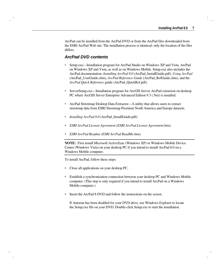ArcPad can be installed from the ArcPad DVD or from the ArcPad files downloaded from the ESRI ArcPad Web site. The installation process is identical; only the location of the files differs.

### *ArcPad DVD contents*

- Setup.exe—Installation program for ArcPad Studio on Windows XP and Vista, ArcPad on Windows XP and Vista, as well as on Windows Mobile. Setup.exe also includes the ArcPad documentation: *Installing ArcPad 8.0* (ArcPad\_InstallGuide.pdf), *Using ArcPad* (ArcPad\_UserGuide.chm), *ArcPad Reference Guide* (ArcPad\_RefGuide.chm), and the *ArcPad Quick Reference* guide (ArcPad\_QuickRef.pdf).
- ServerSetup.exe—Installation program for ArcGIS Server ArcPad extension on desktop PC where ArcGIS Server Enterprise Advanced Edition 9.3 (.Net) is installed.
- ArcPad Streetmap Desktop Data Extractor—A utility that allows users to extract streetmap data from ESRI Streetmap Premium North America and Europe datasets.
- *Installing ArcPad 8.0* (ArcPad\_InstallGuide.pdf).
- *ESRI ArcPad License Agreement (ESRI ArcPad License Agreement.htm).*
- *ESRI ArcPad Readme (ESRI ArcPad ReadMe.htm).*

**NOTE:** First install Microsoft ActiveSync (Windows XP) or Windows Mobile Device Center (Windows Vista) on your desktop PC if you intend to install ArcPad 8.0 on a Windows Mobile computer.

To install ArcPad, follow these steps:

- Close all applications on your desktop PC.
- Establish a synchronization connection between your desktop PC and Windows Mobile computer. (This step is only required if you intend to install ArcPad on a Windows Mobile computer.)
- Insert the ArcPad 8 DVD and follow the instructions on the screen.

If Autorun has been disabled for your DVD drive, use Windows Explorer to locate the Setup.exe file on your DVD. Double-click Setup.exe to start the installation.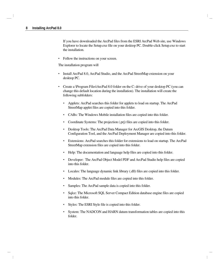If you have downloaded the ArcPad files from the ESRI ArcPad Web site, use Windows Explorer to locate the Setup.exe file on your desktop PC. Double-click Setup.exe to start the installation.

• Follow the instructions on your screen.

The installation program will

- Install ArcPad 8.0, ArcPad Studio, and the ArcPad StreetMap extension on your desktop PC.
- Create a \Program Files\ArcPad 8.0 folder on the C: drive of your desktop PC (you can change this default location during the installation). The installation will create the following subfolders:
	- Applets: ArcPad searches this folder for applets to load on startup. The ArcPad StreetMap applet files are copied into this folder.
	- CABs: The Windows Mobile installation files are copied into this folder.
	- Coordinate Systems: The projection (.prj) files are copied into this folder.
	- Desktop Tools: The ArcPad Data Manager for ArcGIS Desktop, the Datum Configuration Tool, and the ArcPad Deployment Manager are copied into this folder.
	- Extensions: ArcPad searches this folder for extensions to load on startup. The ArcPad StreetMap extension files are copied into this folder.
	- Help: The documentation and language help files are copied into this folder.
	- Developer: The ArcPad Object Model PDF and ArcPad Studio help files are copied into this folder.
	- Locales: The language dynamic link library (.dll) files are copied into this folder.
	- Modules: The ArcPad module files are copied into this folder.
	- Samples: The ArcPad sample data is copied into this folder.
	- Sqlce: The Microsoft SQL Server Compact Edition database engine files are copied into this folder.
	- Styles: The ESRI Style file is copied into this folder.
	- System: The NADCON and HARN datum transformation tables are copied into this folder.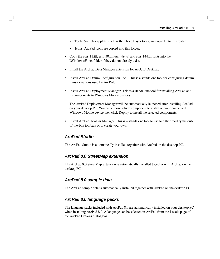- Tools: Samples applets, such as the Photo Layer tools, are copied into this folder.
- Icons: ArcPad icons are copied into this folder.
- Copy the esri\_11.ttf, esri\_30.ttf, esri\_49.ttf, and esri\_144.ttf fonts into the \Windows\Fonts folder if they do not already exist.
- Install the ArcPad Data Manager extension for ArcGIS Desktop.
- Install ArcPad Datum Configuration Tool. This is a standalone tool for configuring datum transformations used by ArcPad.
- Install ArcPad Deployment Manager. This is a standalone tool for installing ArcPad and its components to Windows Mobile devices.

The ArcPad Deployment Manager will be automatically launched after installing ArcPad on your desktop PC. You can choose which component to install on your connected Windows Mobile device then click Deploy to install the selected components.

• Install ArcPad Toolbar Manager. This is a standalone tool to use to either modify the outof-the-box toolbars or to create your own.

#### *ArcPad Studio*

The ArcPad Studio is automatically installed together with ArcPad on the desktop PC.

#### *ArcPad 8.0 StreetMap extension*

The ArcPad 8.0 StreetMap extension is automatically installed together with ArcPad on the desktop PC.

#### *ArcPad 8.0 sample data*

The ArcPad sample data is automatically installed together with ArcPad on the desktop PC.

### *ArcPad 8.0 language packs*

The language packs included with ArcPad 8.0 are automatically installed on your desktop PC when installing ArcPad 8.0. A language can be selected in ArcPad from the Locale page of the ArcPad Options dialog box.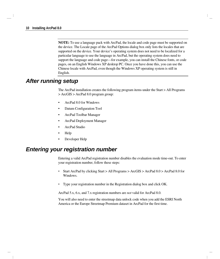**NOTE:** To use a language pack with ArcPad, the locale and code page must be supported on the device. The Locale page of the ArcPad Options dialog box only lists the locales that are supported on the device. Your device's operating system does not need to be localized for a particular language to use the language in ArcPad, but the operating system does need to support the language and code page—for example, you can install the Chinese fonts, or code pages, on an English Windows XP desktop PC. Once you have done this, you can use the Chinese locale with ArcPad, even though the Windows XP operating system is still in English.

## *After running setup*

The ArcPad installation creates the following program items under the Start > All Programs > ArcGIS > ArcPad 8.0 program group:

- ArcPad 8.0 for Windows
- Datum Configuration Tool
- ArcPad Toolbar Manager
- ArcPad Deployment Manager
- ArcPad Studio
- Help
- Developer Help

## *Entering your registration number*

Entering a valid ArcPad registration number disables the evaluation mode time-out. To enter your registration number, follow these steps:

- Start ArcPad by clicking Start > All Programs > ArcGIS > ArcPad 8.0 > ArcPad 8.0 for Windows.
- Type your registration number in the Registration dialog box and click OK.

ArcPad 5.x, 6.x, and 7.x registration numbers are *not* valid for ArcPad 8.0.

You will also need to enter the streetmap data unlock code when you add the ESRI North America or the Europe Streetmap Premium dataset in ArcPad for the first time.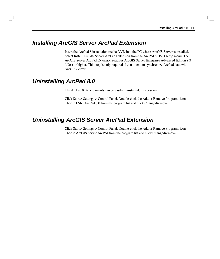## *Installing ArcGIS Server ArcPad Extension*

Insert the ArcPad 8 installation media DVD into the PC where ArcGIS Server is installed. Select Install ArcGIS Server ArcPad Extension from the ArcPad 8 DVD setup menu. The ArcGIS Server ArcPad Extension requires ArcGIS Server Enterprise Advanced Edition 9.3 (.Net) or higher. This step is only required if you intend to synchronize ArcPad data with ArcGIS Server.

## *Uninstalling ArcPad 8.0*

The ArcPad 8.0 components can be easily uninstalled, if necessary.

Click Start > Settings > Control Panel. Double-click the Add or Remove Programs icon. Choose ESRI ArcPad 8.0 from the program list and click Change/Remove.

## *Uninstalling ArcGIS Server ArcPad Extension*

Click Start > Settings > Control Panel. Double-click the Add or Remove Programs icon. Choose ArcGIS Server ArcPad from the program list and click Change/Remove.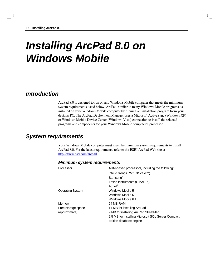# *Installing ArcPad 8.0 on Windows Mobile*

## *Introduction*

ArcPad 8.0 is designed to run on any Windows Mobile computer that meets the minimum system requirements listed below. ArcPad, similar to many Windows Mobile programs, is installed on your Windows Mobile computer by running an installation program from your desktop PC. The ArcPad Deployment Manager uses a Microsoft ActiveSync (Windows XP) or Windows Mobile Device Center (Windows Vista) connection to install the selected programs and components for your Windows Mobile computer's processor.

## *System requirements*

Your Windows Mobile computer must meet the minimum system requirements to install ArcPad 8.0. For the latest requirements, refer to the ESRI ArcPad Web site at http://www.esri.com/arcpad.

| Processor               | ARM-based processors, including the following:     |
|-------------------------|----------------------------------------------------|
|                         | Intel (StrongARM®, XScale™)                        |
|                         | Samsung <sup>®</sup>                               |
|                         | Texas Instruments (OMAP™)                          |
|                         | Atmel®                                             |
| <b>Operating System</b> | Windows Mobile 5                                   |
|                         | Windows Mobile 6                                   |
|                         | Windows Mobile 6.1                                 |
| Memory                  | 64 MB RAM                                          |
| Free storage space      | 11 MB for installing ArcPad                        |
| (approximate)           | 9 MB for installing ArcPad StreetMap               |
|                         | 2.5 MB for installing Microsoft SQL Server Compact |
|                         | Edition database engine                            |

### *Minimum system requirements*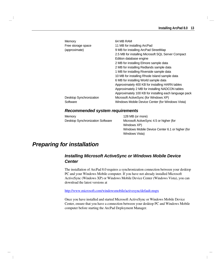| Memory<br>Free storage space<br>(approximate) | 64 MB RAM<br>11 MB for installing ArcPad<br>9 MB for installing ArcPad StreetMap<br>2.5 MB for installing Microsoft SQL Server Compact<br>Edition database engine<br>2 MB for installing Elmore sample data<br>2 MB for installing Redlands sample data<br>1 MB for installing Riverside sample data<br>10 MB for installing Rhode Island sample data<br>6 MB for installing World sample data<br>Approximately 400 KB for installing HARN tables<br>Approximately 2 MB for installing NADCON tables<br>Approximately 100 KB for installing each language pack |
|-----------------------------------------------|----------------------------------------------------------------------------------------------------------------------------------------------------------------------------------------------------------------------------------------------------------------------------------------------------------------------------------------------------------------------------------------------------------------------------------------------------------------------------------------------------------------------------------------------------------------|
| Desktop Synchronization                       | Microsoft ActiveSync (for Windows XP)                                                                                                                                                                                                                                                                                                                                                                                                                                                                                                                          |
| Software                                      | Windows Mobile Device Center (for Windows Vista)                                                                                                                                                                                                                                                                                                                                                                                                                                                                                                               |

#### *Recommended system requirements*

| Memory                           | 128 MB (or more)                                |
|----------------------------------|-------------------------------------------------|
| Desktop Synchronization Software | Microsoft ActiveSync 4.5 or higher (for         |
|                                  | Windows XP)                                     |
|                                  | Windows Mobile Device Center 6.1 or higher (for |

Windows Vista)

## *Preparing for installation*

## *Installing Microsoft ActiveSync or Windows Mobile Device Center*

The installation of ArcPad 8.0 requires a synchronization connection between your desktop PC and your Windows Mobile computer. If you have not already installed Microsoft ActiveSync (Windows XP) or Windows Mobile Device Center (Windows Vista), you can download the latest versions at

<http://www.microsoft.com/windowsmobile/activesync/default.mspx>

Once you have installed and started Microsoft ActiveSync or Windows Mobile Device Center, ensure that you have a connection between your desktop PC and Windows Mobile computer before starting the ArcPad Deployment Manager.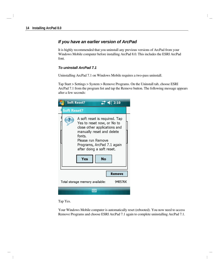### *If you have an earlier version of ArcPad*

It is highly recommended that you uninstall any previous versions of ArcPad from your Windows Mobile computer before installing ArcPad 8.0. This includes the ESRI ArcPad font.

#### *To uninstall ArcPad 7.1*

Uninstalling ArcPad 7.1 on Windows Mobile requires a two-pass uninstall.

Tap Start > Settings > System > Remove Programs. On the Uninstall tab, choose ESRI ArcPad 7.1 from the program list and tap the Remove button. The following message appears after a few seconds:

|                    | <b>Soft Reset?</b>                                                                                                                                                                                                              | 2:10    |
|--------------------|---------------------------------------------------------------------------------------------------------------------------------------------------------------------------------------------------------------------------------|---------|
| <b>Soft Reset?</b> |                                                                                                                                                                                                                                 |         |
|                    | A soft reset is required. Tap<br>Yes to reset now, or No to<br>close other applications and<br>manually reset and delete<br>fonts.<br>Please run Remove<br>Programs, ArcPad 7.1 again<br>after doing a soft reset.<br>Yes<br>Nο |         |
|                    |                                                                                                                                                                                                                                 | Remove  |
|                    | Total storage memory available:                                                                                                                                                                                                 | 948576K |
|                    |                                                                                                                                                                                                                                 |         |

Tap Yes.

Your Windows Mobile computer is automatically reset (rebooted). You now need to access Remove Programs and choose ESRI ArcPad 7.1 again to complete uninstalling ArcPad 7.1.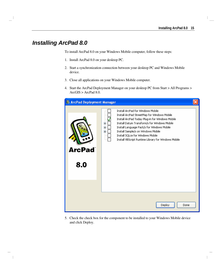## *Installing ArcPad 8.0*

To install ArcPad 8.0 on your Windows Mobile computer, follow these steps:

- 1. Install ArcPad 8.0 on your desktop PC.
- 2. Start a synchronization connection between your desktop PC and Windows Mobile device.
- 3. Close all applications on your Windows Mobile computer.
- 4. Start the ArcPad Deployment Manager on your desktop PC from Start > All Programs > ArcGIS > ArcPad 8.0.

| <b>&amp; ArcPad Deployment Manager</b> |                                                                                                                                                                                                                                                                                                                                                                                                |  |
|----------------------------------------|------------------------------------------------------------------------------------------------------------------------------------------------------------------------------------------------------------------------------------------------------------------------------------------------------------------------------------------------------------------------------------------------|--|
| ArcPad<br>8.0                          | Install ArcPad for Windows Mobile<br>Install ArcPad StreetMap for Windows Mobile<br>Install ArcPad Today Plug-in for Windows Mobile<br>Install Datum Transform/s for Windows Mobile<br>$\overline{+}$<br>Install Language Pack/s for Windows Mobile<br>Œ<br>Install Sample/s on Windows Mobile<br>Ė<br>Install SQLce for Windows Mobile<br>Install VBScript Runtime Library for Windows Mobile |  |
|                                        | Deploy<br>Done                                                                                                                                                                                                                                                                                                                                                                                 |  |

5. Check the check box for the component to be installed to your Windows Mobile device and click Deploy.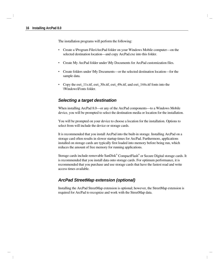The installation programs will perform the following:

- Create a \Program Files\ArcPad folder on your Windows Mobile computer—on the selected destination location—and copy ArcPad.exe into this folder.
- Create My ArcPad folder under \My Documents for ArcPad customization files.
- Create folders under \My Documents—or the selected destination location—for the sample data.
- Copy the esri 11s.ttf, esri 30s.ttf, esri 49s.ttf, and esri 144s.ttf fonts into the \Windows\Fonts folder.

### *Selecting a target destination*

When installing ArcPad 8.0—or any of the ArcPad components—to a Windows Mobile device, you will be prompted to select the destination media or location for the installation.

You will be prompted on your device to choose a location for the installation. Options to select from will include the device or storage cards.

It is recommended that you install ArcPad into the built-in storage. Installing ArcPad on a storage card often results in slower startup times for ArcPad. Furthermore, applications installed on storage cards are typically first loaded into memory before being run, which reduces the amount of free memory for running applications.

Storage cards include removable SanDisk® CompactFlash® or Secure Digital storage cards. It is recommended that you install data onto storage cards. For optimum performance, it is recommended that you purchase and use storage cards that have the fastest read and write access times available.

### *ArcPad StreetMap extension (optional)*

Installing the ArcPad StreetMap extension is optional; however, the StreetMap extension is required for ArcPad to recognize and work with the StreetMap data.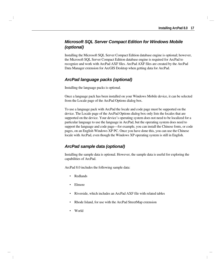## *Microsoft SQL Server Compact Edition for Windows Mobile (optional)*

Installing the Microsoft SQL Server Compact Edition database engine is optional; however, the Microsoft SQL Server Compact Edition database engine is required for ArcPad to recognize and work with ArcPad AXF files. ArcPad AXF files are created by the ArcPad Data Manager extension for ArcGIS Desktop when getting data for ArcPad.

## *ArcPad language packs (optional)*

Installing the language packs is optional.

Once a language pack has been installed on your Windows Mobile device, it can be selected from the Locale page of the ArcPad Options dialog box.

To use a language pack with ArcPad the locale and code page must be supported on the device. The Locale page of the ArcPad Options dialog box only lists the locales that are supported on the device. Your device's operating system does not need to be localized for a particular language to use the language in ArcPad, but the operating system does need to support the language and code page—for example, you can install the Chinese fonts, or code pages, on an English Windows XP PC. Once you have done this, you can use the Chinese locale with ArcPad, even though the Windows XP operating system is still in English.

## *ArcPad sample data (optional)*

Installing the sample data is optional. However, the sample data is useful for exploring the capabilities of ArcPad.

ArcPad 8.0 includes the following sample data:

- Redlands
- Elmore
- Riverside, which includes an ArcPad AXF file with related tables
- Rhode Island, for use with the ArcPad StreetMap extension
- World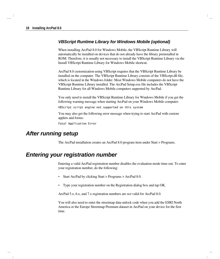## *VBScript Runtime Library for Windows Mobile (optional)*

When installing ArcPad 8.0 for Windows Mobile, the VBScript Runtime Library will automatically be installed on devices that do not already have the library preinstalled in ROM. Therefore, it is usually not necessary to install the VBScript Runtime Library via the Install VBScript Runtime Library for Windows Mobile shortcut.

ArcPad 8.0 customization using VBScript requires that the VBScript Runtime Library be installed on the computer. The VBScript Runtime Library consists of the VBScript.dll file, which is located in the Windows folder. Most Windows Mobile computers do not have the VBScript Runtime Library installed. The ArcPad Setup.exe file includes the VBScript Runtime Library for all Windows Mobile computers supported by ArcPad.

You only need to install the VBScript Runtime Library for Windows Mobile if you get the following warning message when starting ArcPad on your Windows Mobile computer:

VBScript script engine not supported on this system

You may also get the following error message when trying to start ArcPad with custom applets and forms:

Fatal Application Error

## *After running setup*

The ArcPad installation creates an ArcPad 8.0 program item under Start > Programs.

## *Entering your registration number*

Entering a valid ArcPad registration number disables the evaluation mode time-out. To enter your registration number, do the following:

- Start ArcPad by clicking Start > Programs > ArcPad 8.0.
- Type your registration number on the Registration dialog box and tap OK.

ArcPad 5.x, 6.x, and 7.x registration numbers are *not* valid for ArcPad 8.0.

You will also need to enter the streetmap data unlock code when you add the ESRI North America or the Europe Streetmap Premium dataset in ArcPad on your device for the first time.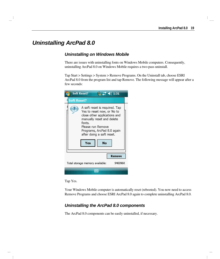## *Uninstalling ArcPad 8.0*

## *Uninstalling on Windows Mobile*

There are issues with uninstalling fonts on Windows Mobile computers. Consequently, uninstalling ArcPad 8.0 on Windows Mobile requires a two-pass uninstall.

Tap Start > Settings > System > Remove Programs. On the Uninstall tab, choose ESRI ArcPad 8.0 from the program list and tap Remove. The following message will appear after a few seconds:

| <b>Soft Reset?</b><br>$\frac{13}{20}$ $\leq 1.31$                                                                                                                                                                               |  |
|---------------------------------------------------------------------------------------------------------------------------------------------------------------------------------------------------------------------------------|--|
| <b>Soft Reset?</b>                                                                                                                                                                                                              |  |
| A soft reset is required. Tap<br>Yes to reset now, or No to<br>close other applications and<br>manually reset and delete<br>fonts.<br>Please run Remove<br>Programs, ArcPad 8.0 again<br>after doing a soft reset.<br>Yes<br>No |  |
| Remove                                                                                                                                                                                                                          |  |
| 946996K<br>Total storage memory available:                                                                                                                                                                                      |  |
|                                                                                                                                                                                                                                 |  |

Tap Yes.

Your Windows Mobile computer is automatically reset (rebooted). You now need to access Remove Programs and choose ESRI ArcPad 8.0 again to complete uninstalling ArcPad 8.0.

## *Uninstalling the ArcPad 8.0 components*

The ArcPad 8.0 components can be easily uninstalled, if necessary.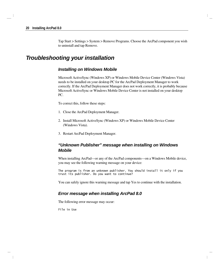Tap Start > Settings > System > Remove Programs. Choose the ArcPad component you wish to uninstall and tap Remove.

## *Troubleshooting your installation*

#### *Installing on Windows Mobile*

Microsoft ActiveSync (Windows XP) or Windows Mobile Device Center (Windows Vista) needs to be installed on your desktop PC for the ArcPad Deployment Manager to work correctly. If the ArcPad Deployment Manager does not work correctly, it is probably because Microsoft ActiveSync or Windows Mobile Device Center is not installed on your desktop PC.

To correct this, follow these steps:

- 1. Close the ArcPad Deployment Manager.
- 2. Install Microsoft ActiveSync (Windows XP) or Windows Mobile Device Center (Windows Vista).
- 3. Restart ArcPad Deployment Manager.

## *"Unknown Publisher" message when installing on Windows Mobile*

When installing ArcPad—or any of the ArcPad components—on a Windows Mobile device, you may see the following warning message on your device:

The program is from an unknown publisher. You should install it only if you trust its publisher. Do you want to continue?

You can safely ignore this warning message and tap Yes to continue with the installation.

#### *Error message when installing ArcPad 8.0*

The following error message may occur:

File in Use